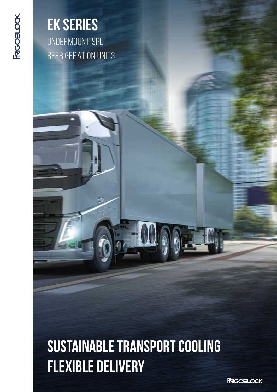**FRGOBLOCK** 

## **EK SERIES** Undermount split refrigeration units

# **SUSTAINABLE TRANSPORT COOLING FLEXIBLE DELIVERY**

**FRIGOELOCK**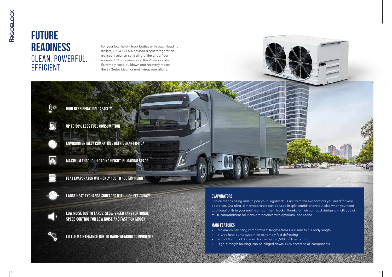#### **evaporators**

Choice means being able to pair your Frigoblock EK unit with the evaporators you need for your operation. Our ultra-slim evaporators can be used in split combinations but also when you need additional units in your multi-compartment trucks. Thanks to their compact design, a multitude of multi-compartment solutions are possible with optimum load space.

#### **Main features**

- Maximum flexibility; compartment lengths from 1,200 mm to full body length
- 4-way heat pump system for extremely fast defrosting
- Radial flat fan of 355 mm dia. For up to 6,500  $m^3/h$  air output
- High-strength housing, can be hinged down, 100% access to all components



## **FUTURE READINESS** CLEAN. POWERFUL. EFFICIENT.

For your low-height truck bodies or through-loading trailers, FRIGOBLOCK devised a split refrigeration transport solution consisting of the underfloormounted EK condenser and the RE evaporator Extremely rapid pulldown and recovery makes the EK Series ideal for multi-drop operations.





**UP TO 50% LESS FUEL CONSUMPTION**

**ENVIRONMENTALLY COMPATIBLE REFRIGERANT R410A**



**MAXIMUM THROUGH-LOADING HEIGHT IN LOADING SPACE**



**FLAT EVAPORATOR WITH ONLY 100 TO 160 MM HEIGHT**



**LARGE HEAT EXCHANGE SURFACES WITH HIGH EFFICIENCY**



**LOW NOISE DUE TO LARGE, SLOW-SPEED FANS (Optional Speed control FOR LOW NOISE AND FAST RUN MODE)**



**LITTLE MAINTENANCE DUE TO HARD-WEARING COMPONENTS**